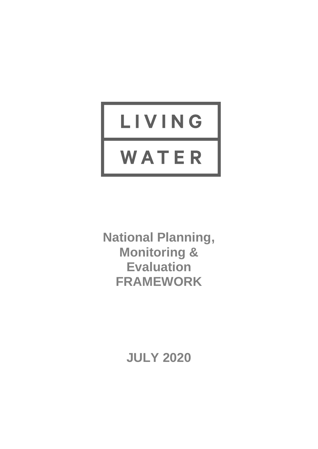# LIVING WATER

**National Planning, Monitoring & Evaluation FRAMEWORK**

**JULY 2020**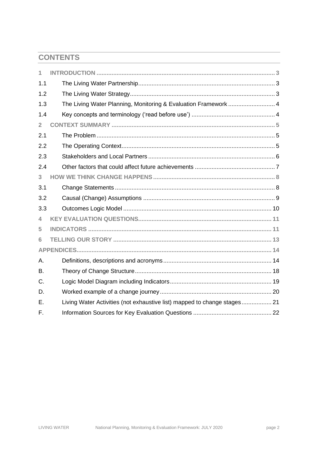# **CONTENTS**

| 1              |                                                                 |
|----------------|-----------------------------------------------------------------|
| 1.1            |                                                                 |
| 1.2            |                                                                 |
| 1.3            | The Living Water Planning, Monitoring & Evaluation Framework  4 |
| 1.4            |                                                                 |
| $\overline{2}$ |                                                                 |
| 2.1            |                                                                 |
| 2.2            |                                                                 |
| 2.3            |                                                                 |
| 2.4            |                                                                 |
| 3              |                                                                 |
| 3.1            |                                                                 |
| 3.2            |                                                                 |
| 3.3            |                                                                 |
| 4              |                                                                 |
| 5              |                                                                 |
| 6              |                                                                 |
|                |                                                                 |
| А.             |                                                                 |
| B.             |                                                                 |
| C.             |                                                                 |
| D.             |                                                                 |
| Ε.             |                                                                 |
| F.             |                                                                 |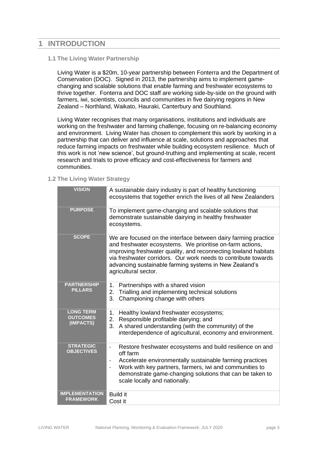# <span id="page-2-0"></span>**1 INTRODUCTION**

#### <span id="page-2-1"></span>**1.1 The Living Water Partnership**

Living Water is a \$20m, 10-year partnership between Fonterra and the Department of Conservation (DOC). Signed in 2013, the partnership aims to implement gamechanging and scalable solutions that enable farming and freshwater ecosystems to thrive together. Fonterra and DOC staff are working side-by-side on the ground with farmers, iwi, scientists, councils and communities in five dairying regions in New Zealand – Northland, Waikato, Hauraki, Canterbury and Southland.

Living Water recognises that many organisations, institutions and individuals are working on the freshwater and farming challenge, focusing on re-balancing economy and environment. Living Water has chosen to complement this work by working in a partnership that can deliver and influence at scale, solutions and approaches that reduce farming impacts on freshwater while building ecosystem resilience. Much of this work is not 'new science', but ground-truthing and implementing at scale, recent research and trials to prove efficacy and cost-effectiveness for farmers and communities.

<span id="page-2-2"></span>**1.2 The Living Water Strategy**

| <b>VISION</b>                                    | A sustainable dairy industry is part of healthy functioning<br>ecosystems that together enrich the lives of all New Zealanders                                                                                                                                                                                                                           |  |  |  |  |
|--------------------------------------------------|----------------------------------------------------------------------------------------------------------------------------------------------------------------------------------------------------------------------------------------------------------------------------------------------------------------------------------------------------------|--|--|--|--|
| <b>PURPOSE</b>                                   | To implement game-changing and scalable solutions that<br>demonstrate sustainable dairying in healthy freshwater<br>ecosystems.                                                                                                                                                                                                                          |  |  |  |  |
| <b>SCOPE</b>                                     | We are focused on the interface between dairy farming practice<br>and freshwater ecosystems. We prioritise on-farm actions,<br>improving freshwater quality, and reconnecting lowland habitats<br>via freshwater corridors. Our work needs to contribute towards<br>advancing sustainable farming systems in New Zealand's<br>agricultural sector.       |  |  |  |  |
| <b>PARTNERSHIP</b><br><b>PILLARS</b>             | Partnerships with a shared vision<br>1.<br>Trialling and implementing technical solutions<br>2.<br>3.<br>Championing change with others                                                                                                                                                                                                                  |  |  |  |  |
| <b>LONG TERM</b><br><b>OUTCOMES</b><br>(IMPACTS) | Healthy lowland freshwater ecosystems;<br>1.<br>2. Responsible profitable dairying; and<br>3.<br>A shared understanding (with the community) of the<br>interdependence of agricultural, economy and environment.                                                                                                                                         |  |  |  |  |
| <b>STRATEGIC</b><br><b>OBJECTIVES</b>            | Restore freshwater ecosystems and build resilience on and<br>$\frac{1}{2}$<br>off farm<br>Accelerate environmentally sustainable farming practices<br>$\overline{\phantom{a}}$<br>Work with key partners, farmers, iwi and communities to<br>$\overline{a}$<br>demonstrate game-changing solutions that can be taken to<br>scale locally and nationally. |  |  |  |  |
| <b>IMPLEMENTATION</b><br><b>FRAMEWORK</b>        | <b>Build it</b><br>Cost it                                                                                                                                                                                                                                                                                                                               |  |  |  |  |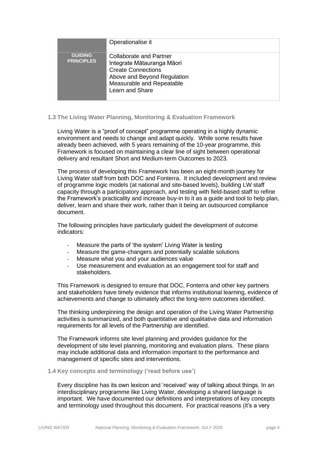|                                     | Operationalise it                                                                                                                                                        |
|-------------------------------------|--------------------------------------------------------------------------------------------------------------------------------------------------------------------------|
| <b>GUIDING</b><br><b>PRINCIPLES</b> | <b>Collaborate and Partner</b><br>Integrate Mātauranga Māori<br><b>Create Connections</b><br>Above and Beyond Regulation<br>Measurable and Repeatable<br>Learn and Share |

#### <span id="page-3-0"></span>**1.3 The Living Water Planning, Monitoring & Evaluation Framework**

Living Water is a "proof of concept" programme operating in a highly dynamic environment and needs to change and adapt quickly. While some results have already been achieved, with 5 years remaining of the 10-year programme, this Framework is focused on maintaining a clear line of sight between operational delivery and resultant Short and Medium-term Outcomes to 2023.

The process of developing this Framework has been an eight-month journey for Living Water staff from both DOC and Fonterra. It included development and review of programme logic models (at national and site-based levels), building LW staff capacity through a participatory approach, and testing with field-based staff to refine the Framework's practicality and increase buy-in to it as a guide and tool to help plan, deliver, learn and share their work, rather than it being an outsourced compliance document.

The following principles have particularly guided the development of outcome indicators:

- Measure the parts of 'the system' Living Water is testing
- Measure the game-changers and potentially scalable solutions
- Measure what you and your audiences value
- Use measurement and evaluation as an engagement tool for staff and stakeholders.

This Framework is designed to ensure that DOC, Fonterra and other key partners and stakeholders have timely evidence that informs institutional learning, evidence of achievements and change to ultimately affect the long-term outcomes identified.

The thinking underpinning the design and operation of the Living Water Partnership activities is summarized, and both quantitative and qualitative data and information requirements for all levels of the Partnership are identified.

The Framework informs site level planning and provides guidance for the development of site level planning, monitoring and evaluation plans. These plans may include additional data and information important to the performance and management of specific sites and interventions.

#### <span id="page-3-1"></span>**1.4 Key concepts and terminology ('read before use')**

Every discipline has its own lexicon and 'received' way of talking about things. In an interdisciplinary programme like Living Water, developing a shared language is important. We have documented our definitions and interpretations of key concepts and terminology used throughout this document. For practical reasons (it's a very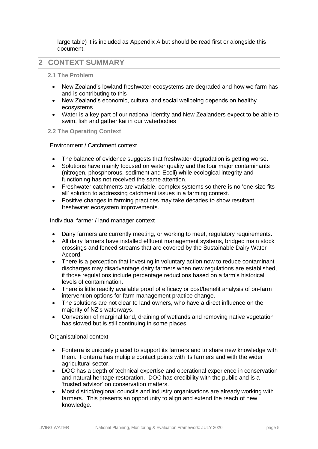large table) it is included as Appendix A but should be read first or alongside this document.

## <span id="page-4-0"></span>**2 CONTEXT SUMMARY**

#### <span id="page-4-1"></span>**2.1 The Problem**

- New Zealand's lowland freshwater ecosystems are degraded and how we farm has and is contributing to this
- New Zealand's economic, cultural and social wellbeing depends on healthy ecosystems
- Water is a key part of our national identity and New Zealanders expect to be able to swim, fish and gather kai in our waterbodies

#### <span id="page-4-2"></span>**2.2 The Operating Context**

Environment / Catchment context

- The balance of evidence suggests that freshwater degradation is getting worse.
- Solutions have mainly focused on water quality and the four major contaminants (nitrogen, phosphorous, sediment and Ecoli) while ecological integrity and functioning has not received the same attention.
- Freshwater catchments are variable, complex systems so there is no 'one-size fits all' solution to addressing catchment issues in a farming context.
- Positive changes in farming practices may take decades to show resultant freshwater ecosystem improvements.

Individual farmer / land manager context

- Dairy farmers are currently meeting, or working to meet, regulatory requirements.
- All dairy farmers have installed effluent management systems, bridged main stock crossings and fenced streams that are covered by the Sustainable Dairy Water Accord.
- There is a perception that investing in voluntary action now to reduce contaminant discharges may disadvantage dairy farmers when new regulations are established, if those regulations include percentage reductions based on a farm's historical levels of contamination.
- There is little readily available proof of efficacy or cost/benefit analysis of on-farm intervention options for farm management practice change.
- The solutions are not clear to land owners, who have a direct influence on the majority of NZ's waterways.
- Conversion of marginal land, draining of wetlands and removing native vegetation has slowed but is still continuing in some places.

#### Organisational context

- Fonterra is uniquely placed to support its farmers and to share new knowledge with them. Fonterra has multiple contact points with its farmers and with the wider agricultural sector.
- DOC has a depth of technical expertise and operational experience in conservation and natural heritage restoration. DOC has credibility with the public and is a 'trusted advisor' on conservation matters.
- Most district/regional councils and industry organisations are already working with farmers. This presents an opportunity to align and extend the reach of new knowledge.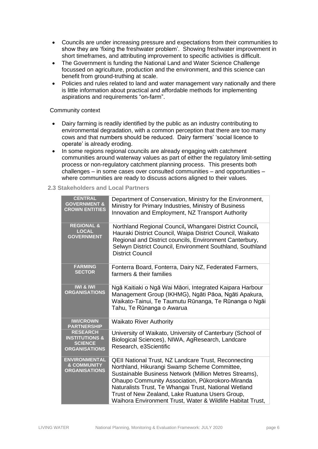- Councils are under increasing pressure and expectations from their communities to show they are 'fixing the freshwater problem'. Showing freshwater improvement in short timeframes, and attributing improvement to specific activities is difficult.
- The Government is funding the National Land and Water Science Challenge focussed on agriculture, production and the environment, and this science can benefit from ground-truthing at scale.
- Policies and rules related to land and water management vary nationally and there is little information about practical and affordable methods for implementing aspirations and requirements "on-farm".

#### Community context

- Dairy farming is readily identified by the public as an industry contributing to environmental degradation, with a common perception that there are too many cows and that numbers should be reduced. Dairy farmers' 'social licence to operate' is already eroding.
- In some regions regional councils are already engaging with catchment communities around waterway values as part of either the regulatory limit-setting process or non-regulatory catchment planning process. This presents both challenges – in some cases over consulted communities – and opportunities – where communities are ready to discuss actions aligned to their values.

#### <span id="page-5-0"></span>**2.3 Stakeholders and Local Partners**

| <b>CENTRAL</b><br><b>GOVERNMENT &amp;</b><br><b>CROWN ENTITIES</b>                     | Department of Conservation, Ministry for the Environment,<br>Ministry for Primary Industries, Ministry of Business<br>Innovation and Employment, NZ Transport Authority                                                                                                                                                                                                                             |
|----------------------------------------------------------------------------------------|-----------------------------------------------------------------------------------------------------------------------------------------------------------------------------------------------------------------------------------------------------------------------------------------------------------------------------------------------------------------------------------------------------|
| <b>REGIONAL &amp;</b><br><b>LOCAL</b><br><b>GOVERNMENT</b>                             | Northland Regional Council, Whangarei District Council,<br>Hauraki District Council, Waipa District Council, Waikato<br>Regional and District councils, Environment Canterbury,<br>Selwyn District Council, Environment Southland, Southland<br><b>District Council</b>                                                                                                                             |
| <b>FARMING</b><br><b>SECTOR</b>                                                        | Fonterra Board, Fonterra, Dairy NZ, Federated Farmers,<br>farmers & their families                                                                                                                                                                                                                                                                                                                  |
| <b>IWI &amp; IWI</b><br><b>ORGANISATIONS</b>                                           | Ngā Kaitiaki o Ngā Wai Māori, Integrated Kaipara Harbour<br>Management Group (IKHMG), Ngāti Pāoa, Ngāti Apakura,<br>Waikato-Tainui, Te Taumutu Rūnanga, Te Rūnanga o Ngāi<br>Tahu, Te Rūnanga o Awarua                                                                                                                                                                                              |
| <b>IWI/CROWN</b><br><b>PARTNERSHIP</b>                                                 | <b>Waikato River Authority</b>                                                                                                                                                                                                                                                                                                                                                                      |
| <b>RESEARCH</b><br><b>INSTITUTIONS &amp;</b><br><b>SCIENCE</b><br><b>ORGANISATIONS</b> | University of Waikato, University of Canterbury (School of<br>Biological Sciences), NIWA, AgResearch, Landcare<br>Research, e3Scientific                                                                                                                                                                                                                                                            |
| <b>ENVIRONMENTAL</b><br><b>&amp; COMMUNITY</b><br><b>ORGANISATIONS</b>                 | <b>QEII National Trust, NZ Landcare Trust, Reconnecting</b><br>Northland, Hikurangi Swamp Scheme Committee,<br>Sustainable Business Network (Million Metres Streams),<br>Ohaupo Community Association, Pūkorokoro-Miranda<br>Naturalists Trust, Te Whangai Trust, National Wetland<br>Trust of New Zealand, Lake Ruatuna Users Group,<br>Waihora Environment Trust, Water & Wildlife Habitat Trust, |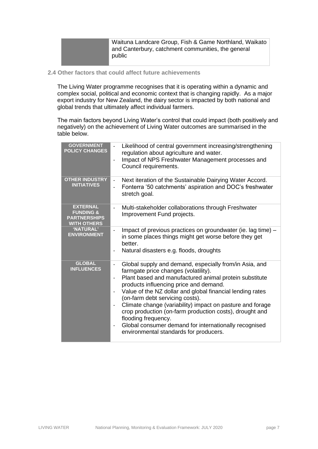Waituna Landcare Group, Fish & Game Northland, Waikato and Canterbury, catchment communities, the general public

<span id="page-6-0"></span>**2.4 Other factors that could affect future achievements**

The Living Water programme recognises that it is operating within a dynamic and complex social, political and economic context that is changing rapidly. As a major export industry for New Zealand, the dairy sector is impacted by both national and global trends that ultimately affect individual farmers.

The main factors beyond Living Water's control that could impact (both positively and negatively) on the achievement of Living Water outcomes are summarised in the table below.

| <b>GOVERNMENT</b><br><b>POLICY CHANGES</b>                                           | Likelihood of central government increasing/strengthening<br>$\overline{\phantom{0}}$<br>regulation about agriculture and water.<br>Impact of NPS Freshwater Management processes and<br>$\overline{a}$<br>Council requirements.                                                                                                                                                                                                                                                                                                                                                                                                             |
|--------------------------------------------------------------------------------------|----------------------------------------------------------------------------------------------------------------------------------------------------------------------------------------------------------------------------------------------------------------------------------------------------------------------------------------------------------------------------------------------------------------------------------------------------------------------------------------------------------------------------------------------------------------------------------------------------------------------------------------------|
| <b>OTHER INDUSTRY</b><br><b>INITIATIVES</b>                                          | Next iteration of the Sustainable Dairying Water Accord.<br>$\Box$<br>Fonterra '50 catchments' aspiration and DOC's freshwater<br>stretch goal.                                                                                                                                                                                                                                                                                                                                                                                                                                                                                              |
| <b>EXTERNAL</b><br><b>FUNDING &amp;</b><br><b>PARTNERSHIPS</b><br><b>WITH OTHERS</b> | Multi-stakeholder collaborations through Freshwater<br>$\overline{\phantom{0}}$<br>Improvement Fund projects.                                                                                                                                                                                                                                                                                                                                                                                                                                                                                                                                |
| 'NATURAL'<br><b>ENVIRONMENT</b>                                                      | Impact of previous practices on groundwater (ie. lag time) –<br>$\overline{\phantom{0}}$<br>in some places things might get worse before they get<br>better.<br>Natural disasters e.g. floods, droughts<br>$\overline{\phantom{0}}$                                                                                                                                                                                                                                                                                                                                                                                                          |
| <b>GLOBAL</b><br><b>INFLUENCES</b>                                                   | Global supply and demand, especially from/in Asia, and<br>$\qquad \qquad \blacksquare$<br>farmgate price changes (volatility).<br>Plant based and manufactured animal protein substitute<br>$\overline{\phantom{0}}$<br>products influencing price and demand.<br>Value of the NZ dollar and global financial lending rates<br>(on-farm debt servicing costs).<br>Climate change (variability) impact on pasture and forage<br>$\overline{\phantom{0}}$<br>crop production (on-farm production costs), drought and<br>flooding frequency.<br>Global consumer demand for internationally recognised<br>environmental standards for producers. |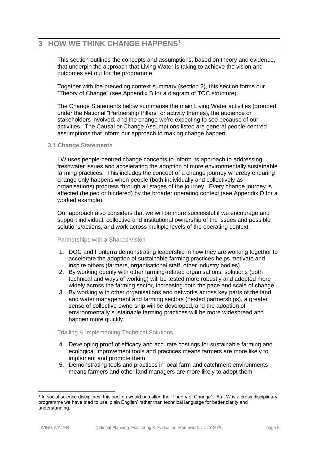# <span id="page-7-0"></span>**3 HOW WE THINK CHANGE HAPPENS<sup>1</sup>**

This section outlines the concepts and assumptions, based on theory and evidence, that underpin the approach that Living Water is taking to achieve the vision and outcomes set out for the programme.

Together with the preceding context summary (section 2), this section forms our "Theory of Change" (see Appendix B for a diagram of TOC structure).

The Change Statements below summarise the main Living Water activities (grouped under the National "Partnership Pillars" or activity themes), the audience or stakeholders involved, and the change we're expecting to see because of our activities. The Causal or Change Assumptions listed are general people-centred assumptions that inform our approach to making change happen.

#### <span id="page-7-1"></span>**3.1 Change Statements**

LW uses people-centred change concepts to inform its approach to addressing freshwater issues and accelerating the adoption of more environmentally sustainable farming practices. This includes the concept of a change journey whereby enduring change only happens when people (both individually and collectively as organisations) progress through all stages of the journey. Every change journey is affected (helped or hindered) by the broader operating context (see Appendix D for a worked example).

Our approach also considers that we will be more successful if we encourage and support individual, collective and institutional ownership of the issues and possible solutions/actions, and work across multiple levels of the operating context.

#### Partnerships with a Shared Vision

- 1. DOC and Fonterra demonstrating leadership in how they are working together to accelerate the adoption of sustainable farming practices helps motivate and inspire others (farmers, organisational staff, other industry bodies).
- 2. By working openly with other farming-related organisations, solutions (both technical and ways of working) will be tested more robustly and adopted more widely across the farming sector, increasing both the pace and scale of change.
- 3. By working with other organisations and networks across key parts of the land and water management and farming sectors (nested partnerships), a greater sense of collective ownership will be developed, and the adoption of environmentally sustainable farming practices will be more widespread and happen more quickly.

#### Trialling & Implementing Technical Solutions

- 4. Developing proof of efficacy and accurate costings for sustainable farming and ecological improvement tools and practices means farmers are more likely to implement and promote them.
- 5. Demonstrating tools and practices in local farm and catchment environments means farmers and other land managers are more likely to adopt them.

<sup>&</sup>lt;sup>1</sup> In social science disciplines, this section would be called the "Theory of Change". As LW is a cross disciplinary programme we have tried to use 'plain English' rather than technical language for better clarity and understanding.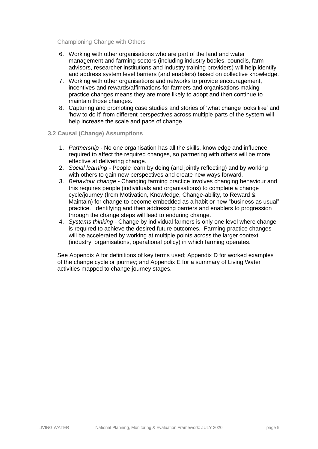Championing Change with Others

- 6. Working with other organisations who are part of the land and water management and farming sectors (including industry bodies, councils, farm advisors, researcher institutions and industry training providers) will help identify and address system level barriers (and enablers) based on collective knowledge.
- 7. Working with other organisations and networks to provide encouragement, incentives and rewards/affirmations for farmers and organisations making practice changes means they are more likely to adopt and then continue to maintain those changes.
- 8. Capturing and promoting case studies and stories of 'what change looks like' and 'how to do it' from different perspectives across multiple parts of the system will help increase the scale and pace of change.

#### <span id="page-8-0"></span>**3.2 Causal (Change) Assumptions**

- 1. *Partnership -* No one organisation has all the skills, knowledge and influence required to affect the required changes, so partnering with others will be more effective at delivering change.
- 2. *Social learning -* People learn by doing (and jointly reflecting) and by working with others to gain new perspectives and create new ways forward.
- 3. *Behaviour change -* Changing farming practice involves changing behaviour and this requires people (individuals and organisations) to complete a change cycle/journey (from Motivation, Knowledge, Change-ability, to Reward & Maintain) for change to become embedded as a habit or new "business as usual" practice. Identifying and then addressing barriers and enablers to progression through the change steps will lead to enduring change.
- 4. *Systems thinking -* Change by individual farmers is only one level where change is required to achieve the desired future outcomes. Farming practice changes will be accelerated by working at multiple points across the larger context (industry, organisations, operational policy) in which farming operates.

See Appendix A for definitions of key terms used; Appendix D for worked examples of the change cycle or journey; and Appendix E for a summary of Living Water activities mapped to change journey stages.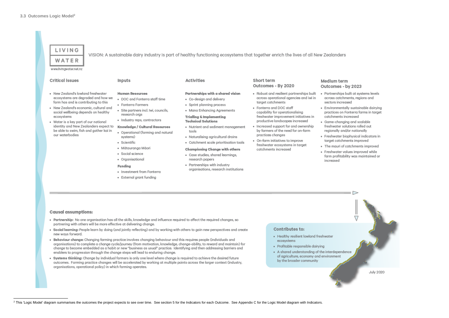# <span id="page-9-0"></span>LIVING

VISION: A sustainable dairy industry is part of healthy functioning ecosystems that together enrich the lives of all New Zealanders

www.livingwater.net.nz

WATER

#### **Critical issues**

- · New Zealand's lowland freshwater ecosystems are degraded and how we farm has and is contributing to this
- · New Zealand's economic, cultural and social wellbeing depends on healthy ecosystems
- · Water is a key part of our national identity and New Zealanders expect to be able to swim, fish and gather kai in our waterbodies

#### Inputs

#### **Human Resources**

- . DOC and Fonterra staff time
- · Fonterra Farmers
- · Site partners incl. Iwi, councils, research orgs
- Industry reps, contractors

#### Knowledge / Cultural Resources

- . Operational (farming and natural systems)
- · Scientific
- Mātauranga Māori
- · Social science
- · Organisational

#### Funding

- · Investment from Fonterra
- External grant funding

### Activities

#### Partnerships with a shared vision

- Co-design and delivery
- · Sprint planning process
- Mana Enhancing Agreements

#### Trialling & Implementing **Technical Solutions**

- · Nutrient and sediment management tools
- Naturalising agricultural drains
- · Catchment scale prioritisation tools

#### Championing Change with others

- · Case studies, shared learnings, research papers
- Partnerships with industry organisations, research institutions

#### Short term Outcomes - By 2020

- Robust and resilient partnerships built across operational agencies and iwi in target catchments
- Fonterra and DOC staff capability for operationalising freshwater improvement initiatives in productive landscapes increased
- · Increased support for and ownership by farmers of the need for on-farm practices changes
- . On-farm initiatives to improve freshwater ecosystems in target catchments increased
- · Freshwater values improved while farm profitability was maintained or increased

#### **Causal assumptions:**

- Partnership: No one organisation has all the skills, knowledge and influence required to affect the required changes, so partnering with others will be more effective at delivering change.
- . Social learning: People learn by doing (and jointly reflecting) and by working with others to gain new perspectives and create new ways forward.
- . Behaviour change: Changing farming practice involves changing behaviour and this requires people (individuals and organisations) to complete a change cycle/journey (from motivation, knowledge, change-ability, to reward and maintain) for change to become embedded as a habit or new "business as usual" practice. Identifying and then addressing barriers and enablers to progression through the change steps will lead to enduring change.
- . Systems thinking: Change by individual farmers is only one level where change is required to achieve the desired future outcomes. Farming practice changes will be accelerated by working at multiple points across the larger context (industry, organisations, operational policy) in which farming operates.

#### Contributes to:

- Healthy resilient lowland freshwater ecosystems
- · Profitable responsible dairying
- A shared understanding of the interdependence of agriculture, economy and environment by the broader community



#### Medium term Outcomes - by 2023

- · Partnerships built at systems levels across catchments, regions and sectors increased
- · Environmentally sustainable dairying practices on Fonterra farms in target catchments increased
- · Game-changing and scalable freshwater solutions rolled out regionally and/or nationally
- · Freshwater biophysical indicators in target catchments improved
- · The mauri of catchments improved

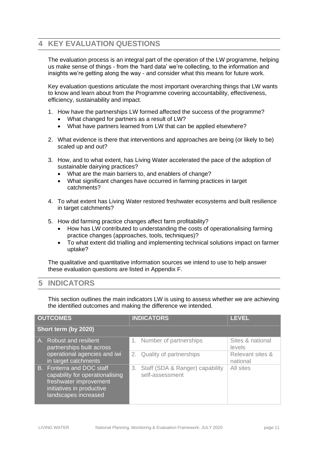# <span id="page-10-0"></span>**4 KEY EVALUATION QUESTIONS**

The evaluation process is an integral part of the operation of the LW programme, helping us make sense of things - from the 'hard data' we're collecting, to the information and insights we're getting along the way - and consider what this means for future work.

Key evaluation questions articulate the most important overarching things that LW wants to know and learn about from the Programme covering accountability, effectiveness, efficiency, sustainability and impact.

- 1. How have the partnerships LW formed affected the success of the programme?
	- What changed for partners as a result of LW?
	- What have partners learned from LW that can be applied elsewhere?
- 2. What evidence is there that interventions and approaches are being (or likely to be) scaled up and out?
- 3. How, and to what extent, has Living Water accelerated the pace of the adoption of sustainable dairying practices?
	- What are the main barriers to, and enablers of change?
	- What significant changes have occurred in farming practices in target catchments?
- 4. To what extent has Living Water restored freshwater ecosystems and built resilience in target catchments?
- 5. How did farming practice changes affect farm profitability?
	- How has LW contributed to understanding the costs of operationalising farming practice changes (approaches, tools, techniques)?
	- To what extent did trialling and implementing technical solutions impact on farmer uptake?

The qualitative and quantitative information sources we intend to use to help answer these evaluation questions are listed in Appendix F.

# <span id="page-10-1"></span>**5 INDICATORS**

This section outlines the main indicators LW is using to assess whether we are achieving the identified outcomes and making the difference we intended.

| <b>OUTCOMES</b>                                                                                                                             | <b>INDICATORS</b>                                        | <b>LEVEL</b>                 |
|---------------------------------------------------------------------------------------------------------------------------------------------|----------------------------------------------------------|------------------------------|
| Short term (by 2020)                                                                                                                        |                                                          |                              |
| A. Robust and resilient<br>partnerships built across                                                                                        | Number of partnerships                                   | Sites & national<br>levels   |
| operational agencies and iwi<br>in target catchments                                                                                        | 2. Quality of partnerships                               | Relevant sites &<br>national |
| B. Fonterra and DOC staff<br>capability for operationalising<br>freshwater improvement<br>initiatives in productive<br>landscapes increased | Staff (SDA & Ranger) capability<br>3.<br>self-assessment | All sites                    |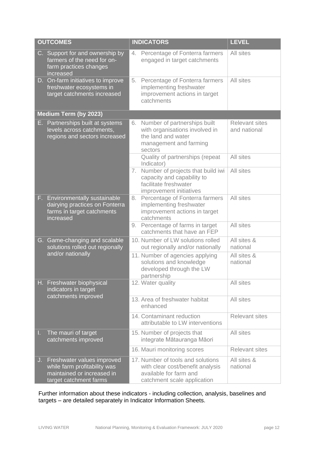|    | <b>OUTCOMES</b>                                                                                                    |    | <b>INDICATORS</b>                                                                                                              | <b>LEVEL</b>                          |
|----|--------------------------------------------------------------------------------------------------------------------|----|--------------------------------------------------------------------------------------------------------------------------------|---------------------------------------|
|    | C. Support for and ownership by<br>farmers of the need for on-<br>farm practices changes<br>increased              | 4. | Percentage of Fonterra farmers<br>engaged in target catchments                                                                 | All sites                             |
|    | D. On-farm initiatives to improve<br>freshwater ecosystems in<br>target catchments increased                       | 5. | Percentage of Fonterra farmers<br>implementing freshwater<br>improvement actions in target<br>catchments                       | All sites                             |
|    | Medium Term (by 2023)                                                                                              |    |                                                                                                                                |                                       |
|    | E. Partnerships built at systems<br>levels across catchments,<br>regions and sectors increased                     | 6. | Number of partnerships built<br>with organisations involved in<br>the land and water<br>management and farming<br>sectors      | <b>Relevant sites</b><br>and national |
|    |                                                                                                                    |    | Quality of partnerships (repeat<br>Indicator)                                                                                  | All sites                             |
|    |                                                                                                                    | 7. | Number of projects that build iwi<br>capacity and capability to<br>facilitate freshwater<br>improvement initiatives            | All sites                             |
|    | F. Environmentally sustainable<br>dairying practices on Fonterra<br>farms in target catchments<br>increased        | 8. | Percentage of Fonterra farmers<br>implementing freshwater<br>improvement actions in target<br>catchments                       | All sites                             |
|    |                                                                                                                    | 9. | Percentage of farms in target<br>catchments that have an FEP                                                                   | All sites                             |
|    | G. Game-changing and scalable<br>solutions rolled out regionally                                                   |    | 10. Number of LW solutions rolled<br>out regionally and/or nationally                                                          | All sites &<br>national               |
|    | and/or nationally                                                                                                  |    | 11. Number of agencies applying<br>solutions and knowledge<br>developed through the LW<br>partnership                          | All sites &<br>national               |
|    | H. Freshwater biophysical<br>indicators in target                                                                  |    | 12. Water quality                                                                                                              | All sites                             |
|    | catchments improved                                                                                                |    | 13. Area of freshwater habitat<br>enhanced                                                                                     | All sites                             |
|    |                                                                                                                    |    | 14. Contaminant reduction<br>attributable to LW interventions                                                                  | <b>Relevant sites</b>                 |
| L. | The mauri of target<br>catchments improved                                                                         |    | 15. Number of projects that<br>integrate Mātauranga Māori                                                                      | All sites                             |
|    |                                                                                                                    |    | 16. Mauri monitoring scores                                                                                                    | <b>Relevant sites</b>                 |
| J. | Freshwater values improved<br>while farm profitability was<br>maintained or increased in<br>target catchment farms |    | 17. Number of tools and solutions<br>with clear cost/benefit analysis<br>available for farm and<br>catchment scale application | All sites &<br>national               |

Further information about these indicators - including collection, analysis, baselines and targets – are detailed separately in Indicator Information Sheets.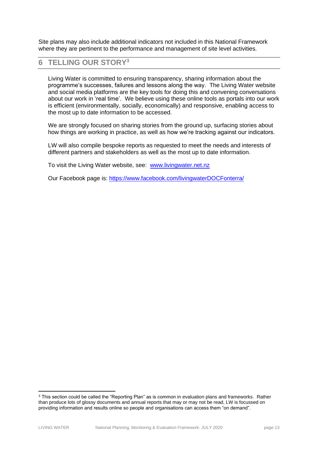Site plans may also include additional indicators not included in this National Framework where they are pertinent to the performance and management of site level activities.

# <span id="page-12-0"></span>**6 TELLING OUR STORY<sup>3</sup>**

Living Water is committed to ensuring transparency, sharing information about the programme's successes, failures and lessons along the way. The Living Water website and social media platforms are the key tools for doing this and convening conversations about our work in 'real time'. We believe using these online tools as portals into our work is efficient (environmentally, socially, economically) and responsive, enabling access to the most up to date information to be accessed.

We are strongly focused on sharing stories from the ground up, surfacing stories about how things are working in practice, as well as how we're tracking against our indicators.

LW will also compile bespoke reports as requested to meet the needs and interests of different partners and stakeholders as well as the most up to date information.

To visit the Living Water website, see: [www.livingwater.net.nz](http://www.livingwater.net.nz/)

Our Facebook page is: [https://www.facebook.com/livingwaterDOCFonterra/](https://www.facebook.com/livingwaterDOCFonterra/?ref=br_rs)

<sup>&</sup>lt;sup>3</sup> This section could be called the "Reporting Plan" as is common in evaluation plans and frameworks. Rather than produce lots of glossy documents and annual reports that may or may not be read, LW is focussed on providing information and results online so people and organisations can access them "on demand".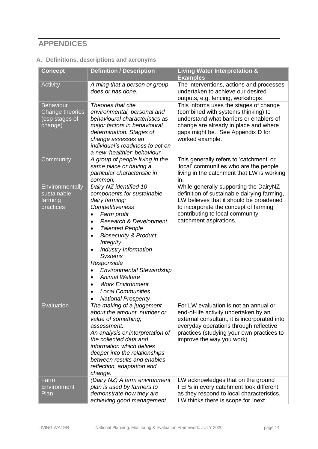# <span id="page-13-0"></span>**APPENDICES**

# <span id="page-13-1"></span>**A. Definitions, descriptions and acronyms**

| <b>Concept</b>                                                   | <b>Definition / Description</b>                                                                                                                                                                                                                                                                                                                                                                                                                                                           | <b>Living Water Interpretation &amp;</b><br><b>Examples</b>                                                                                                                                                                                         |
|------------------------------------------------------------------|-------------------------------------------------------------------------------------------------------------------------------------------------------------------------------------------------------------------------------------------------------------------------------------------------------------------------------------------------------------------------------------------------------------------------------------------------------------------------------------------|-----------------------------------------------------------------------------------------------------------------------------------------------------------------------------------------------------------------------------------------------------|
| Activity                                                         | A thing that a person or group<br>does or has done.                                                                                                                                                                                                                                                                                                                                                                                                                                       | The interventions, actions and processes<br>undertaken to achieve our desired<br>outputs, e.g. fencing, workshops                                                                                                                                   |
| <b>Behaviour</b><br>Change theories<br>(esp stages of<br>change) | Theories that cite<br>environmental, personal and<br>behavioural characteristics as<br>major factors in behavioural<br>determination. Stages of<br>change assesses an<br>individual's readiness to act on<br>a new 'healthier' behaviour.                                                                                                                                                                                                                                                 | This informs uses the stages of change<br>(combined with systems thinking) to<br>understand what barriers or enablers of<br>change are already in place and where<br>gaps might be. See Appendix D for<br>worked example.                           |
| Community                                                        | A group of people living in the<br>same place or having a<br>particular characteristic in<br>common.                                                                                                                                                                                                                                                                                                                                                                                      | This generally refers to 'catchment' or<br>'local' communities who are the people<br>living in the catchment that LW is working<br>in.                                                                                                              |
| Environmentally<br>sustainable<br>farming<br>practices           | Dairy NZ identified 10<br>components for sustainable<br>dairy farming:<br>Competitiveness<br>Farm profit<br>Research & Development<br>$\bullet$<br><b>Talented People</b><br>$\bullet$<br><b>Biosecurity &amp; Product</b><br>$\bullet$<br>Integrity<br>Industry Information<br><b>Systems</b><br>Responsible<br><b>Environmental Stewardship</b><br><b>Animal Welfare</b><br>$\bullet$<br><b>Work Environment</b><br><b>Local Communities</b><br>$\bullet$<br><b>National Prosperity</b> | While generally supporting the DairyNZ<br>definition of sustainable dairying farming,<br>LW believes that it should be broadened<br>to incorporate the concept of farming<br>contributing to local community<br>catchment aspirations.              |
| Evaluation                                                       | The making of a judgement<br>about the amount, number or<br>value of something;<br>assessment.<br>An analysis or interpretation of<br>the collected data and<br>information which delves<br>deeper into the relationships<br>between results and enables<br>reflection, adaptation and<br>change.                                                                                                                                                                                         | For LW evaluation is not an annual or<br>end-of-life activity undertaken by an<br>external consultant, it is incorporated into<br>everyday operations through reflective<br>practices (studying your own practices to<br>improve the way you work). |
| Farm<br>Environment<br>Plan                                      | (Dairy NZ) A farm environment<br>plan is used by farmers to<br>demonstrate how they are<br>achieving good management                                                                                                                                                                                                                                                                                                                                                                      | LW acknowledges that on the ground<br>FEPs in every catchment look different<br>as they respond to local characteristics.<br>LW thinks there is scope for "next                                                                                     |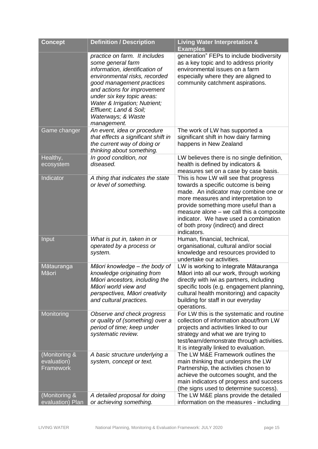| <b>Concept</b>                                   | <b>Definition / Description</b>                                                                                                                                                                                                                                                                                 | <b>Living Water Interpretation &amp;</b><br><b>Examples</b>                                                                                                                                                                                                                                                                                     |
|--------------------------------------------------|-----------------------------------------------------------------------------------------------------------------------------------------------------------------------------------------------------------------------------------------------------------------------------------------------------------------|-------------------------------------------------------------------------------------------------------------------------------------------------------------------------------------------------------------------------------------------------------------------------------------------------------------------------------------------------|
|                                                  | practice on farm. It includes<br>some general farm<br>information, identification of<br>environmental risks, recorded<br>good management practices<br>and actions for improvement<br>under six key topic areas:<br>Water & Irrigation; Nutrient;<br>Effluent; Land & Soil;<br>Waterways; & Waste<br>management. | generation" FEPs to include biodiversity<br>as a key topic and to address priority<br>environmental issues on a farm<br>especially where they are aligned to<br>community catchment aspirations.                                                                                                                                                |
| Game changer                                     | An event, idea or procedure<br>that effects a significant shift in<br>the current way of doing or<br>thinking about something.                                                                                                                                                                                  | The work of LW has supported a<br>significant shift in how dairy farming<br>happens in New Zealand                                                                                                                                                                                                                                              |
| Healthy,<br>ecosystem                            | In good condition, not<br>diseased.                                                                                                                                                                                                                                                                             | LW believes there is no single definition,<br>health is defined by indicators &<br>measures set on a case by case basis.                                                                                                                                                                                                                        |
| Indicator                                        | A thing that indicates the state<br>or level of something.                                                                                                                                                                                                                                                      | This is how LW will see that progress<br>towards a specific outcome is being<br>made. An indicator may combine one or<br>more measures and interpretation to<br>provide something more useful than a<br>measure alone – we call this a composite<br>indicator. We have used a combination<br>of both proxy (indirect) and direct<br>indicators. |
| Input                                            | What is put in, taken in or<br>operated by a process or<br>system.                                                                                                                                                                                                                                              | Human, financial, technical,<br>organisational, cultural and/or social<br>knowledge and resources provided to<br>undertake our activities.                                                                                                                                                                                                      |
| Mātauranga<br>Māori                              | Māori knowledge - the body of<br>knowledge originating from<br>Māori ancestors, including the<br>Māori world view and<br>perspectives, Māori creativity<br>and cultural practices.                                                                                                                              | LW is working to integrate Mātauranga<br>Māori into all our work, through working<br>directly with iwi as partners, including<br>specific tools (e.g. engagement planning,<br>cultural health monitoring) and capacity<br>building for staff in our everyday<br>operations.                                                                     |
| Monitoring                                       | Observe and check progress<br>or quality of (something) over a<br>period of time; keep under<br>systematic review.                                                                                                                                                                                              | For LW this is the systematic and routine<br>collection of information about/from LW<br>projects and activities linked to our<br>strategy and what we are trying to<br>test/learn/demonstrate through activities.<br>It is integrally linked to evaluation.                                                                                     |
| (Monitoring &<br>evaluation)<br><b>Framework</b> | A basic structure underlying a<br>system, concept or text.                                                                                                                                                                                                                                                      | The LW M&E Framework outlines the<br>main thinking that underpins the LW<br>Partnership, the activities chosen to<br>achieve the outcomes sought, and the<br>main indicators of progress and success<br>(the signs used to determine success).                                                                                                  |
| (Monitoring &<br>evaluation) Plan                | A detailed proposal for doing<br>or achieving something.                                                                                                                                                                                                                                                        | The LW M&E plans provide the detailed<br>information on the measures - including                                                                                                                                                                                                                                                                |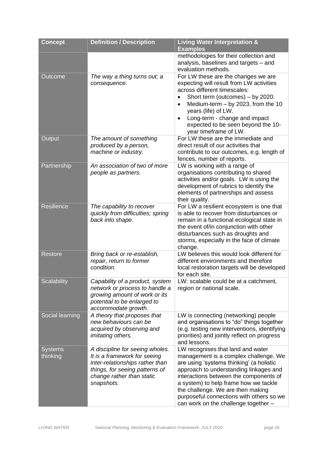| <b>Concept</b>             | <b>Definition / Description</b>                                                                                                                                                 | <b>Living Water Interpretation &amp;</b><br><b>Examples</b>                                                                                                                                                                                                                                                                                                                  |
|----------------------------|---------------------------------------------------------------------------------------------------------------------------------------------------------------------------------|------------------------------------------------------------------------------------------------------------------------------------------------------------------------------------------------------------------------------------------------------------------------------------------------------------------------------------------------------------------------------|
|                            |                                                                                                                                                                                 | methodologies for their collection and<br>analysis, baselines and targets - and<br>evaluation methods.                                                                                                                                                                                                                                                                       |
| Outcome                    | The way a thing turns out; a<br>consequence.                                                                                                                                    | For LW these are the changes we are<br>expecting will result from LW activities<br>across different timescales:<br>Short term (outcomes) - by 2020.<br>Medium-term $-$ by 2023, from the 10<br>$\bullet$<br>years (life) of LW.<br>Long-term - change and impact<br>$\bullet$<br>expected to be seen beyond the 10-<br>year timeframe of LW.                                 |
| Output                     | The amount of something<br>produced by a person,<br>machine or industry.                                                                                                        | For LW these are the immediate and<br>direct result of our activities that<br>contribute to our outcomes, e.g. length of<br>fences, number of reports.                                                                                                                                                                                                                       |
| Partnership                | An association of two of more<br>people as partners.                                                                                                                            | LW is working with a range of<br>organisations contributing to shared<br>activities and/or goals. LW is using the<br>development of rubrics to identify the<br>elements of partnerships and assess<br>their quality.                                                                                                                                                         |
| <b>Resilience</b>          | The capability to recover<br>quickly from difficulties; spring<br>back into shape.                                                                                              | For LW a resilient ecosystem is one that<br>is able to recover from disturbances or<br>remain in a functional ecological state in<br>the event of/in conjunction with other<br>disturbances such as droughts and<br>storms, especially in the face of climate<br>change.                                                                                                     |
| <b>Restore</b>             | Bring back or re-establish,<br>repair, return to former<br>condition.                                                                                                           | LW believes this would look different for<br>different environments and therefore<br>local restoration targets will be developed<br>for each site.                                                                                                                                                                                                                           |
| <b>Scalability</b>         | Capability of a product, system<br>network or process to handle a<br>growing amount of work or its<br>potential to be enlarged to<br>accommodate growth.                        | LW: scalable could be at a catchment,<br>region or national scale.                                                                                                                                                                                                                                                                                                           |
| Social learning            | A theory that proposes that<br>new behaviours can be<br>acquired by observing and<br><i>imitating others.</i>                                                                   | LW is connecting (networking) people<br>and organisations to "do" things together<br>(e.g. testing new interventions, identifying<br>priorities) and jointly reflect on progress<br>and lessons.                                                                                                                                                                             |
| <b>Systems</b><br>thinking | A discipline for seeing wholes.<br>It is a framework for seeing<br>inter-relationships rather than<br>things, for seeing patterns of<br>change rather than static<br>snapshots. | LW recognises that land and water<br>management is a complex challenge. We<br>are using 'systems thinking' (a holistic<br>approach to understanding linkages and<br>interactions between the components of<br>a system) to help frame how we tackle<br>the challenge. We are then making<br>purposeful connections with others so we<br>can work on the challenge together - |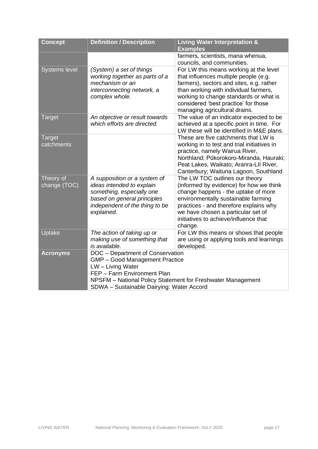| <b>Concept</b>              | <b>Definition / Description</b>                                                                                                                                       | <b>Living Water Interpretation &amp;</b><br><b>Examples</b>                                                                                                                                                                                                                                 |
|-----------------------------|-----------------------------------------------------------------------------------------------------------------------------------------------------------------------|---------------------------------------------------------------------------------------------------------------------------------------------------------------------------------------------------------------------------------------------------------------------------------------------|
|                             |                                                                                                                                                                       | farmers, scientists, mana whenua,<br>councils, and communities.                                                                                                                                                                                                                             |
| <b>Systems level</b>        | (System) a set of things<br>working together as parts of a<br>mechanism or an<br>interconnecting network, a<br>complex whole.                                         | For LW this means working at the level<br>that influences multiple people (e.g.<br>farmers), sectors and sites, e.g. rather<br>than working with individual farmers,<br>working to change standards or what is<br>considered 'best practice' for those<br>managing agricultural drains.     |
| <b>Target</b>               | An objective or result towards<br>which efforts are directed.                                                                                                         | The value of an indicator expected to be<br>achieved at a specific point in time. For<br>LW these will be identified in M&E plans.                                                                                                                                                          |
| <b>Target</b><br>catchments |                                                                                                                                                                       | These are five catchments that LW is<br>working in to test and trial initiatives in<br>practice, namely Wairua River,<br>Northland; Pūkorokoro-Miranda, Hauraki;<br>Peat Lakes, Waikato; Ararira-LII River,<br>Canterbury; Waituna Lagoon, Southland                                        |
| Theory of<br>change (TOC)   | A supposition or a system of<br>ideas intended to explain<br>something, especially one<br>based on general principles<br>independent of the thing to be<br>explained. | The LW TOC outlines our theory<br>(informed by evidence) for how we think<br>change happens - the uptake of more<br>environmentally sustainable farming<br>practices - and therefore explains why<br>we have chosen a particular set of<br>initiatives to achieve/influence that<br>change. |
| Uptake                      | The action of taking up or<br>making use of something that<br>is available.                                                                                           | For LW this means or shows that people<br>are using or applying tools and learnings<br>developed.                                                                                                                                                                                           |
| <b>Acronyms</b>             | DOC - Department of Conservation<br>GMP - Good Management Practice<br>LW - Living Water<br>FEP - Farm Environment Plan<br>SDWA - Sustainable Dairying: Water Accord   | NPSFM - National Policy Statement for Freshwater Management                                                                                                                                                                                                                                 |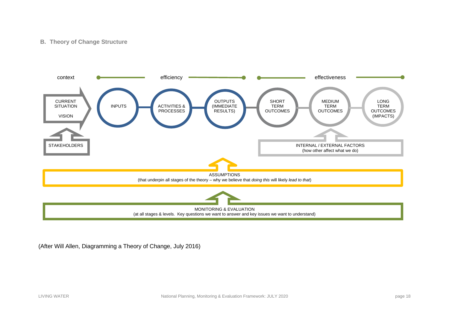#### **B. Theory of Change Structure**



<span id="page-17-0"></span>(After Will Allen, Diagramming a Theory of Change, July 2016)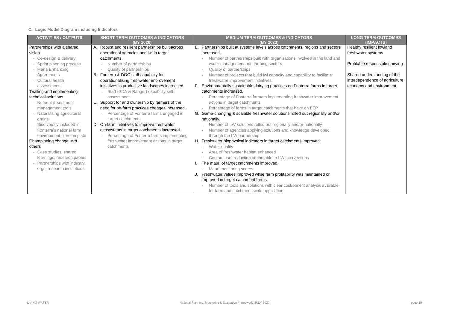# <span id="page-18-0"></span>**C. Logic Model Diagram including Indicators**

| <b>ACTIVITIES / OUTPUTS</b>  | <b>SHORT TERM OUTCOMES &amp; INDICATORS</b>       | <b>MEDIUM TERM OUTCOMES &amp; INDICATORS</b> |                                                                               | <b>LONG TERM OUTCOMES</b>       |
|------------------------------|---------------------------------------------------|----------------------------------------------|-------------------------------------------------------------------------------|---------------------------------|
|                              | (BY 2020)                                         |                                              | (BY 2023)                                                                     | (IMPACTS)                       |
| Partnerships with a shared   | A. Robust and resilient partnerships built across | Е.                                           | Partnerships built at systems levels across catchments, regions and sectors   | Healthy resilient lowland       |
| vision                       | operational agencies and iwi in target            |                                              | increased.                                                                    | freshwater systems              |
| - Co-design & delivery       | catchments.                                       |                                              | Number of partnerships built with organisations involved in the land and      |                                 |
| Sprint planning process      | Number of partnerships                            |                                              | water management and farming sectors                                          | Profitable responsible dairying |
| - Mana Enhancing             | Quality of partnerships                           |                                              | Quality of partnerships                                                       |                                 |
| Agreements                   | B. Fonterra & DOC staff capability for            |                                              | Number of projects that build iwi capacity and capability to facilitate       | Shared understanding of the     |
| - Cultural health            | operationalising freshwater improvement           |                                              | freshwater improvement initiatives                                            | interdependence of agriculture, |
| assessments                  | initiatives in productive landscapes increased.   |                                              | Environmentally sustainable dairying practices on Fonterra farms in target    | economy and environment         |
| Trialling and implementing   | Staff (SDA & Ranger) capability self-             |                                              | catchments increased.                                                         |                                 |
| technical solutions          | assessment                                        |                                              | Percentage of Fonterra farmers implementing freshwater improvement            |                                 |
| - Nutrient & sediment        | C. Support for and ownership by farmers of the    |                                              | actions in target catchments                                                  |                                 |
| management tools             | need for on-farm practices changes increased.     |                                              | Percentage of farms in target catchments that have an FEP                     |                                 |
| - Naturalising agricultural  | Percentage of Fonterra farms engaged in           |                                              | G. Game-changing & scalable freshwater solutions rolled out regionally and/or |                                 |
| drains                       | target catchments                                 |                                              | nationally.                                                                   |                                 |
| - Biodiversity included in   | On-farm initiatives to improve freshwater         |                                              | Number of LW solutions rolled out regionally and/or nationally                |                                 |
| Fonterra's national farm     | ecosystems in target catchments increased.        |                                              | Number of agencies applying solutions and knowledge developed                 |                                 |
| environment plan template    | Percentage of Fonterra farms implementing         |                                              | through the LW partnership                                                    |                                 |
| Championing change with      | freshwater improvement actions in target          |                                              | H. Freshwater biophysical indicators in target catchments improved.           |                                 |
| others                       | catchments                                        |                                              | Water quality                                                                 |                                 |
| - Case studies, shared       |                                                   |                                              | Area of freshwater habitat enhanced                                           |                                 |
| learnings, research papers   |                                                   |                                              | Contaminant reduction attributable to LW interventions                        |                                 |
| - Partnerships with industry |                                                   |                                              | The mauri of target catchments improved.                                      |                                 |
| orgs, research institutions  |                                                   |                                              | Mauri monitoring scores                                                       |                                 |
|                              |                                                   |                                              | Freshwater values improved while farm profitability was maintained or         |                                 |
|                              |                                                   |                                              | improved in target catchment farms.                                           |                                 |
|                              |                                                   |                                              | Number of tools and solutions with clear cost/benefit analysis available      |                                 |
|                              |                                                   |                                              | for farm and catchment scale application                                      |                                 |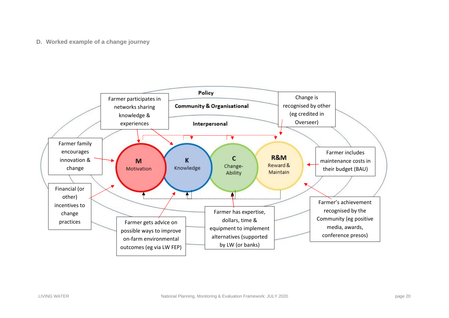#### **D. Worked example of a change journey**

<span id="page-19-0"></span>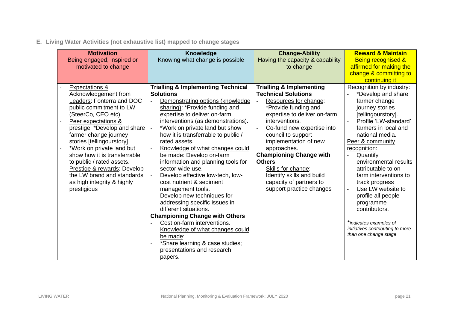**E. Living Water Activities (not exhaustive list) mapped to change stages**

<span id="page-20-0"></span>

| <b>Motivation</b>            | <b>Knowledge</b>                              | <b>Change-Ability</b>               | <b>Reward &amp; Maintain</b>                              |
|------------------------------|-----------------------------------------------|-------------------------------------|-----------------------------------------------------------|
| Being engaged, inspired or   | Knowing what change is possible               | Having the capacity & capability    | <b>Being recognised &amp;</b>                             |
| motivated to change          |                                               | to change                           | affirmed for making the                                   |
|                              |                                               |                                     | change & committing to                                    |
|                              |                                               |                                     | continuing it                                             |
| <b>Expectations &amp;</b>    | <b>Trialling &amp; Implementing Technical</b> | <b>Trialling &amp; Implementing</b> | Recognition by industry:                                  |
| Acknowledgement from         | <b>Solutions</b>                              | <b>Technical Solutions</b>          | *Develop and share                                        |
| Leaders: Fonterra and DOC    | Demonstrating options (knowledge)             | Resources for change:               | farmer change                                             |
| public commitment to LW      | sharing): *Provide funding and                | *Provide funding and                | journey stories                                           |
| (SteerCo, CEO etc).          | expertise to deliver on-farm                  | expertise to deliver on-farm        | [tellingourstory].                                        |
| Peer expectations &          | interventions (as demonstrations).            | interventions.                      | Profile 'LW-standard'                                     |
| prestige: *Develop and share | *Work on private land but show                | Co-fund new expertise into          | farmers in local and                                      |
| farmer change journey        | how it is transferrable to public /           | council to support                  | national media.                                           |
| stories [tellingourstory]    | rated assets.                                 | implementation of new               | Peer & community                                          |
| *Work on private land but    | Knowledge of what changes could               | approaches.                         | recognition:                                              |
| show how it is transferrable | be made: Develop on-farm                      | <b>Championing Change with</b>      | Quantify                                                  |
| to public / rated assets.    | information and planning tools for            | <b>Others</b>                       | environmental results                                     |
| Prestige & rewards: Develop  | sector-wide use.                              | Skills for change:                  | attributable to on-                                       |
| the LW brand and standards   | Develop effective low-tech, low-              | Identify skills and build           | farm interventions to                                     |
| as high integrity & highly   | cost nutrient & sediment                      | capacity of partners to             | track progress                                            |
| prestigious                  | management tools.                             | support practice changes            | Use LW website to                                         |
|                              | Develop new techniques for                    |                                     | profile all people                                        |
|                              | addressing specific issues in                 |                                     | programme                                                 |
|                              | different situations.                         |                                     | contributors.                                             |
|                              | <b>Championing Change with Others</b>         |                                     |                                                           |
|                              | Cost on-farm interventions.                   |                                     | *indicates examples of                                    |
|                              | Knowledge of what changes could               |                                     | initiatives contributing to more<br>than one change stage |
|                              | be made:                                      |                                     |                                                           |
|                              | *Share learning & case studies;               |                                     |                                                           |
|                              | presentations and research                    |                                     |                                                           |
|                              | papers.                                       |                                     |                                                           |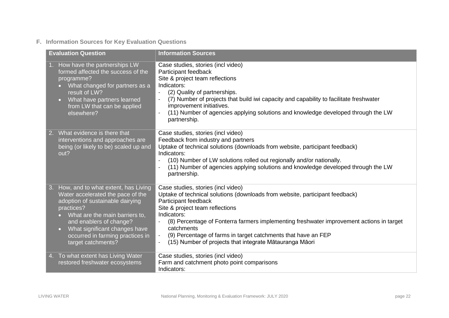# **F. Information Sources for Key Evaluation Questions**

<span id="page-21-0"></span>

| <b>Evaluation Question</b>                                                                                                                                                                                                                                                                                        | <b>Information Sources</b>                                                                                                                                                                                                                                                                                                                                                                                                                                      |
|-------------------------------------------------------------------------------------------------------------------------------------------------------------------------------------------------------------------------------------------------------------------------------------------------------------------|-----------------------------------------------------------------------------------------------------------------------------------------------------------------------------------------------------------------------------------------------------------------------------------------------------------------------------------------------------------------------------------------------------------------------------------------------------------------|
| 1. How have the partnerships LW<br>formed affected the success of the<br>programme?<br>What changed for partners as a<br>$\bullet$<br>result of LW?<br>What have partners learned<br>$\bullet$ .<br>from LW that can be applied<br>elsewhere?                                                                     | Case studies, stories (incl video)<br>Participant feedback<br>Site & project team reflections<br>Indicators:<br>(2) Quality of partnerships.<br>(7) Number of projects that build iwi capacity and capability to facilitate freshwater<br>improvement initiatives.<br>(11) Number of agencies applying solutions and knowledge developed through the LW<br>partnership.                                                                                         |
| 2. What evidence is there that<br>interventions and approaches are<br>being (or likely to be) scaled up and<br>out?                                                                                                                                                                                               | Case studies, stories (incl video)<br>Feedback from industry and partners<br>Uptake of technical solutions (downloads from website, participant feedback)<br>Indicators:<br>(10) Number of LW solutions rolled out regionally and/or nationally.<br>(11) Number of agencies applying solutions and knowledge developed through the LW<br>partnership.                                                                                                           |
| 3. How, and to what extent, has Living<br>Water accelerated the pace of the<br>adoption of sustainable dairying<br>practices?<br>What are the main barriers to,<br>$\bullet$ .<br>and enablers of change?<br>What significant changes have<br>$\bullet$<br>occurred in farming practices in<br>target catchments? | Case studies, stories (incl video)<br>Uptake of technical solutions (downloads from website, participant feedback)<br>Participant feedback<br>Site & project team reflections<br>Indicators:<br>(8) Percentage of Fonterra farmers implementing freshwater improvement actions in target<br>$\mathbb{L}^{\mathbb{N}}$<br>catchments<br>(9) Percentage of farms in target catchments that have an FEP<br>(15) Number of projects that integrate Mātauranga Māori |
| To what extent has Living Water<br>4.<br>restored freshwater ecosystems                                                                                                                                                                                                                                           | Case studies, stories (incl video)<br>Farm and catchment photo point comparisons<br>Indicators:                                                                                                                                                                                                                                                                                                                                                                 |